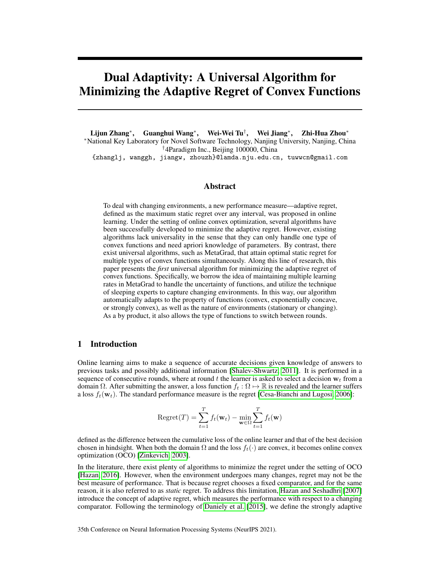# Dual Adaptivity: A Universal Algorithm for Minimizing the Adaptive Regret of Convex Functions

Lijun Zhang<sup>∗</sup> , Guanghui Wang<sup>∗</sup> , Wei-Wei Tu† , Wei Jiang<sup>∗</sup> , Zhi-Hua Zhou<sup>∗</sup> <sup>∗</sup>National Key Laboratory for Novel Software Technology, Nanjing University, Nanjing, China †4Paradigm Inc., Beijing 100000, China

{zhanglj, wanggh, jiangw, zhouzh}@lamda.nju.edu.cn, tuwwcn@gmail.com

# Abstract

To deal with changing environments, a new performance measure—adaptive regret, defined as the maximum static regret over any interval, was proposed in online learning. Under the setting of online convex optimization, several algorithms have been successfully developed to minimize the adaptive regret. However, existing algorithms lack universality in the sense that they can only handle one type of convex functions and need apriori knowledge of parameters. By contrast, there exist universal algorithms, such as MetaGrad, that attain optimal static regret for multiple types of convex functions simultaneously. Along this line of research, this paper presents the *first* universal algorithm for minimizing the adaptive regret of convex functions. Specifically, we borrow the idea of maintaining multiple learning rates in MetaGrad to handle the uncertainty of functions, and utilize the technique of sleeping experts to capture changing environments. In this way, our algorithm automatically adapts to the property of functions (convex, exponentially concave, or strongly convex), as well as the nature of environments (stationary or changing). As a by product, it also allows the type of functions to switch between rounds.

# 1 Introduction

Online learning aims to make a sequence of accurate decisions given knowledge of answers to previous tasks and possibly additional information [\[Shalev-Shwartz, 2011\]](#page-11-0). It is performed in a sequence of consecutive rounds, where at round t the learner is asked to select a decision  $w_t$  from a domain Ω. After submitting the answer, a loss function  $f_t : \Omega \mapsto \mathbb{R}$  is revealed and the learner suffers a loss  $f_t(\mathbf{w}_t)$ . The standard performance measure is the regret [\[Cesa-Bianchi and Lugosi, 2006\]](#page-10-0):

$$
\text{Regret}(T) = \sum_{t=1}^{T} f_t(\mathbf{w}_t) - \min_{\mathbf{w} \in \Omega} \sum_{t=1}^{T} f_t(\mathbf{w})
$$

defined as the difference between the cumulative loss of the online learner and that of the best decision chosen in hindsight. When both the domain  $\Omega$  and the loss  $f_t(\cdot)$  are convex, it becomes online convex optimization (OCO) [\[Zinkevich, 2003\]](#page-12-0).

In the literature, there exist plenty of algorithms to minimize the regret under the setting of OCO [\[Hazan, 2016\]](#page-11-1). However, when the environment undergoes many changes, regret may not be the best measure of performance. That is because regret chooses a fixed comparator, and for the same reason, it is also referred to as *static* regret. To address this limitation, [Hazan and Seshadhri](#page-11-2) [\[2007\]](#page-11-2) introduce the concept of adaptive regret, which measures the performance with respect to a changing comparator. Following the terminology of [Daniely et al.](#page-10-1) [\[2015\]](#page-10-1), we define the strongly adaptive

35th Conference on Neural Information Processing Systems (NeurIPS 2021).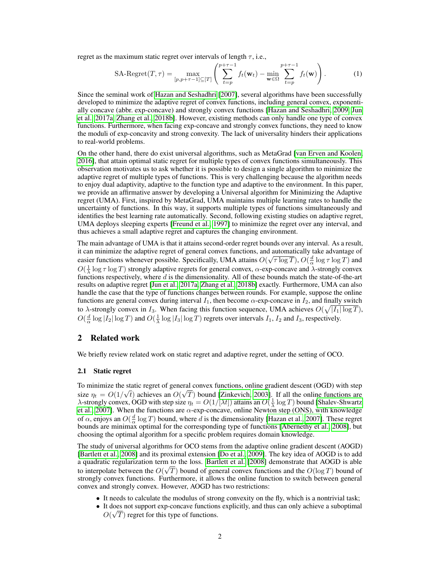regret as the maximum static regret over intervals of length  $\tau$ , i.e.,

<span id="page-1-0"></span>SA-Regret
$$
(T, \tau) = \max_{[p, p+\tau-1] \subseteq [T]} \left( \sum_{t=p}^{p+\tau-1} f_t(\mathbf{w}_t) - \min_{\mathbf{w} \in \Omega} \sum_{t=p}^{p+\tau-1} f_t(\mathbf{w}) \right).
$$
 (1)

Since the seminal work of [Hazan and Seshadhri](#page-11-2) [\[2007\]](#page-11-2), several algorithms have been successfully developed to minimize the adaptive regret of convex functions, including general convex, exponentially concave (abbr. exp-concave) and strongly convex functions [\[Hazan and Seshadhri, 2009,](#page-11-3) [Jun](#page-11-4) [et al., 2017a,](#page-11-4) [Zhang et al., 2018b\]](#page-12-1). However, existing methods can only handle one type of convex functions. Furthermore, when facing exp-concave and strongly convex functions, they need to know the moduli of exp-concavity and strong convexity. The lack of universality hinders their applications to real-world problems.

On the other hand, there do exist universal algorithms, such as MetaGrad [\[van Erven and Koolen,](#page-11-5) [2016\]](#page-11-5), that attain optimal static regret for multiple types of convex functions simultaneously. This observation motivates us to ask whether it is possible to design a single algorithm to minimize the adaptive regret of multiple types of functions. This is very challenging because the algorithm needs to enjoy dual adaptivity, adaptive to the function type and adaptive to the environment. In this paper, we provide an affirmative answer by developing a Universal algorithm for Minimizing the Adaptive regret (UMA). First, inspired by MetaGrad, UMA maintains multiple learning rates to handle the uncertainty of functions. In this way, it supports multiple types of functions simultaneously and identifies the best learning rate automatically. Second, following existing studies on adaptive regret, UMA deploys sleeping experts [\[Freund et al., 1997\]](#page-10-2) to minimize the regret over any interval, and thus achieves a small adaptive regret and captures the changing environment.

The main advantage of UMA is that it attains second-order regret bounds over any interval. As a result, it can minimize the adaptive regret of general convex functions, and automatically take advantage of √ easier functions whenever possible. Specifically, UMA attains  $O(\sqrt{\tau \log T})$ ,  $O(\frac{d}{\alpha} \log \tau \log T)$  and  $O(\frac{1}{\lambda} \log \tau \log T)$  strongly adaptive regrets for general convex,  $\alpha$ -exp-concave and  $\lambda$ -strongly convex functions respectively, where  $d$  is the dimensionality. All of these bounds match the state-of-the-art results on adaptive regret [\[Jun et al., 2017a,](#page-11-4) [Zhang et al., 2018b\]](#page-12-1) exactly. Furthermore, UMA can also handle the case that the type of functions changes between rounds. For example, suppose the online functions are general convex during interval  $I_1$ , then become  $\alpha$ -exp-concave in  $I_2$ , and finally switch to  $\lambda$ -strongly convex in  $I_3$ . When facing this function sequence, UMA achieves  $O(\sqrt{|I_1| \log T})$ ,  $O(\frac{d}{\alpha} \log |I_2| \log T)$  and  $O(\frac{1}{\lambda} \log |I_3| \log T)$  regrets over intervals  $I_1$ ,  $I_2$  and  $I_3$ , respectively.

# 2 Related work

We briefly review related work on static regret and adaptive regret, under the setting of OCO.

#### 2.1 Static regret

To minimize the static regret of general convex functions, online gradient descent (OGD) with step size  $\eta_t = O(1/\sqrt{t})$  achieves an  $O(\sqrt{T})$  bound [\[Zinkevich, 2003\]](#page-12-0). If all the online functions are  $\lambda$ -strongly convex, OGD with step size  $\eta_t = O(1/[\lambda t])$  attains an  $O(\frac{1}{\lambda} \log T)$  bound [\[Shalev-Shwartz](#page-11-6) [et al., 2007\]](#page-11-6). When the functions are  $\alpha$ -exp-concave, online Newton step (ONS), with knowledge of  $\alpha$ , enjoys an  $O(\frac{d}{\alpha} \log T)$  bound, where d is the dimensionality [\[Hazan et al., 2007\]](#page-11-7). These regret bounds are minimax optimal for the corresponding type of functions [\[Abernethy et al., 2008\]](#page-10-3), but choosing the optimal algorithm for a specific problem requires domain knowledge.

The study of universal algorithms for OCO stems from the adaptive online gradient descent (AOGD) [\[Bartlett et al., 2008\]](#page-10-4) and its proximal extension [\[Do et al., 2009\]](#page-10-5). The key idea of AOGD is to add a quadratic regularization term to the loss. [Bartlett et al.](#page-10-4) [\[2008\]](#page-10-4) demonstrate that AOGD is able to interpolate between the  $O(\sqrt{T})$  bound of general convex functions and the  $O(\log T)$  bound of strongly convex functions. Furthermore, it allows the online function to switch between general convex and strongly convex. However, AOGD has two restrictions:

- It needs to calculate the modulus of strong convexity on the fly, which is a nontrivial task;
- It does not support exp-concave functions explicitly, and thus can only achieve a suboptimal √  $O(\sqrt{T})$  regret for this type of functions.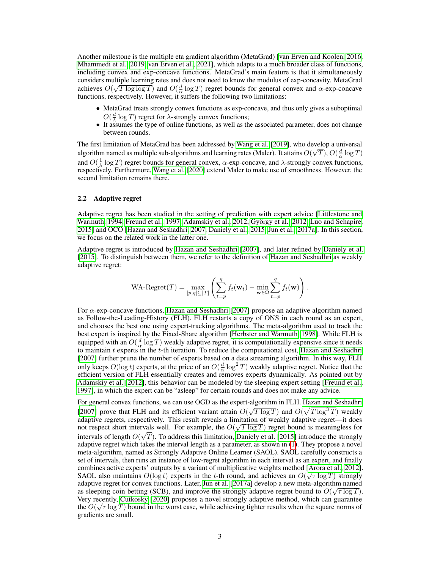Another milestone is the multiple eta gradient algorithm (MetaGrad) [\[van Erven and Koolen, 2016,](#page-11-5) [Mhammedi et al., 2019,](#page-11-8) [van Erven et al., 2021\]](#page-11-9), which adapts to a much broader class of functions, including convex and exp-concave functions. MetaGrad's main feature is that it simultaneously considers multiple learning rates and does not need to know the modulus of exp-concavity. MetaGrad achieves  $O(\sqrt{T \log \log T})$  and  $O(\frac{d}{\alpha} \log T)$  regret bounds for general convex and  $\alpha$ -exp-concave functions, respectively. However, it suffers the following two limitations:

- MetaGrad treats strongly convex functions as exp-concave, and thus only gives a suboptimal  $O(\frac{d}{\lambda} \log T)$  regret for  $\lambda$ -strongly convex functions;
- It assumes the type of online functions, as well as the associated parameter, does not change between rounds.

The first limitation of MetaGrad has been addressed by [Wang et al.](#page-12-2) [\[2019\]](#page-12-2), who develop a universal algorithm named as multiple sub-algorithms and learning rates (Maler). It attains  $O(\sqrt{T}), O(\frac{d}{\alpha} \log T)$ and  $O(\frac{1}{\lambda} \log T)$  regret bounds for general convex,  $\alpha$ -exp-concave, and  $\lambda$ -strongly convex functions,  $\frac{d}{d}$  respectively. Furthermore, [Wang et al.](#page-12-3) [\[2020\]](#page-12-3) extend Maler to make use of smoothness. However, the respectively. Furthermore, Wang et al. [2020] extend Maler to make use of smoothness. However, the second limitation remains there.

## 2.2 Adaptive regret

Adaptive regret has been studied in the setting of prediction with expert advice [\[Littlestone and](#page-11-10) [Warmuth, 1994,](#page-11-10) [Freund et al., 1997,](#page-10-2) [Adamskiy et al., 2012,](#page-10-6) [György et al., 2012,](#page-10-7) [Luo and Schapire,](#page-11-11) [2015\]](#page-11-11) and OCO [\[Hazan and Seshadhri, 2007,](#page-11-2) [Daniely et al., 2015,](#page-10-1) [Jun et al., 2017a\]](#page-11-4). In this section, we focus on the related work in the latter one.

Adaptive regret is introduced by [Hazan and Seshadhri](#page-11-2) [\[2007\]](#page-11-2), and later refined by [Daniely et al.](#page-10-1) [\[2015\]](#page-10-1). To distinguish between them, we refer to the definition of [Hazan and Seshadhri](#page-11-2) as weakly adaptive regret:

WA-Regret
$$
(T)
$$
 =  $\max_{[p,q]\subseteq[T]} \left( \sum_{t=p}^{q} f_t(\mathbf{w}_t) - \min_{\mathbf{w}\in\Omega} \sum_{t=p}^{q} f_t(\mathbf{w}) \right).$ 

For  $\alpha$ -exp-concave functions, [Hazan and Seshadhri](#page-11-2) [\[2007\]](#page-11-2) propose an adaptive algorithm named as Follow-the-Leading-History (FLH). FLH restarts a copy of ONS in each round as an expert, and chooses the best one using expert-tracking algorithms. The meta-algorithm used to track the best expert is inspired by the Fixed-Share algorithm [\[Herbster and Warmuth, 1998\]](#page-11-12). While FLH is equipped with an  $O(\frac{d}{\alpha} \log T)$  weakly adaptive regret, it is computationally expensive since it needs to maintain  $t$  experts in the  $t$ -th iteration. To reduce the computational cost, [Hazan and Seshadhri](#page-11-2) [\[2007\]](#page-11-2) further prune the number of experts based on a data streaming algorithm. In this way, FLH only keeps  $O(\log t)$  experts, at the price of an  $O(\frac{d}{\alpha} \log^2 T)$  weakly adaptive regret. Notice that the efficient version of FLH essentially creates and removes experts dynamically. As pointed out by [Adamskiy et al.](#page-10-6) [\[2012\]](#page-10-6), this behavior can be modeled by the sleeping expert setting [\[Freund et al.,](#page-10-2) [1997\]](#page-10-2), in which the expert can be "asleep" for certain rounds and does not make any advice.

For general convex functions, we can use OGD as the expert-algorithm in FLH. [Hazan and Seshadhri](#page-11-2) [\[2007\]](#page-11-2) prove that FLH and its efficient variant attain  $O(\sqrt{T \log T})$  and  $O(\sqrt{T \log^3 T})$  weakly adaptive regrets, respectively. This result reveals a limitation of weakly adaptive regret—it does not respect short intervals well. For example, the  $O(\sqrt{T \log T})$  regret bound is meaningless for intervals of length  $O(\sqrt{T})$ . To address this limitation, [Daniely et al.](#page-10-1) [\[2015\]](#page-10-1) introduce the strongly adaptive regret which takes the interval length as a parameter, as shown in [\(1\)](#page-1-0). They propose a novel meta-algorithm, named as Strongly Adaptive Online Learner (SAOL). SAOL carefully constructs a set of intervals, then runs an instance of low-regret algorithm in each interval as an expert, and finally combines active experts' outputs by a variant of multiplicative weights method [\[Arora et al., 2012\]](#page-10-8). SAOL also maintains  $O(\log t)$  experts in the t-th round, and achieves an  $O(\sqrt{\tau} \log T)$  strongly adaptive regret for convex functions. Later, [Jun et al.](#page-11-4) [\[2017a\]](#page-11-4) develop a new meta-algorithm named as sleeping coin betting (SCB), and improve the strongly adaptive regret bound to  $O(\sqrt{\tau \log T})$ . Very recently, [Cutkosky](#page-10-9) [\[2020\]](#page-10-9) proposes a novel strongly adaptive method, which can guarantee the  $O(\sqrt{\tau \log T})$  bound in the worst case, while achieving tighter results when the square norms of gradients are small.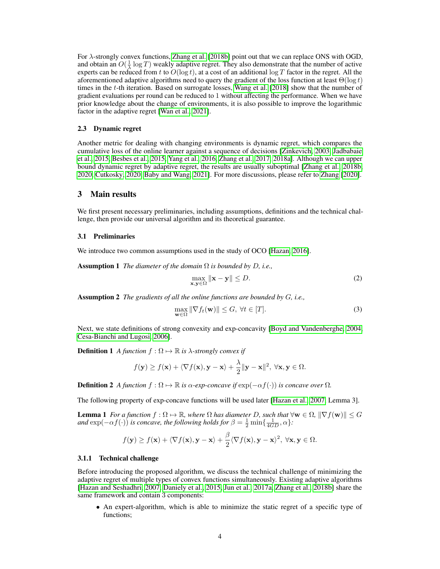For λ-strongly convex functions, [Zhang et al.](#page-12-1) [\[2018b\]](#page-12-1) point out that we can replace ONS with OGD, and obtain an  $O(\frac{1}{\lambda} \log T)$  weakly adaptive regret. They also demonstrate that the number of active experts can be reduced from t to  $O(\log t)$ , at a cost of an additional  $\log T$  factor in the regret. All the aforementioned adaptive algorithms need to query the gradient of the loss function at least  $\Theta(\log t)$ times in the t-th iteration. Based on surrogate losses, [Wang et al.](#page-12-4) [\[2018\]](#page-12-4) show that the number of gradient evaluations per round can be reduced to 1 without affecting the performance. When we have prior knowledge about the change of environments, it is also possible to improve the logarithmic factor in the adaptive regret [\[Wan et al., 2021\]](#page-11-13).

#### 2.3 Dynamic regret

Another metric for dealing with changing environments is dynamic regret, which compares the cumulative loss of the online learner against a sequence of decisions [\[Zinkevich, 2003,](#page-12-0) [Jadbabaie](#page-11-14) [et al., 2015,](#page-11-14) [Besbes et al., 2015,](#page-10-10) [Yang et al., 2016,](#page-12-5) [Zhang et al., 2017,](#page-12-6) [2018a\]](#page-12-7). Although we can upper bound dynamic regret by adaptive regret, the results are usually suboptimal [\[Zhang et al., 2018b,](#page-12-1) [2020,](#page-12-8) [Cutkosky, 2020,](#page-10-9) [Baby and Wang, 2021\]](#page-10-11). For more discussions, please refer to [Zhang](#page-12-9) [\[2020\]](#page-12-9).

# 3 Main results

We first present necessary preliminaries, including assumptions, definitions and the technical challenge, then provide our universal algorithm and its theoretical guarantee.

## 3.1 Preliminaries

<span id="page-3-1"></span>We introduce two common assumptions used in the study of OCO [\[Hazan, 2016\]](#page-11-1).

Assumption 1 *The diameter of the domain* Ω *is bounded by* D*, i.e.,*

$$
\max_{\mathbf{x}, \mathbf{y} \in \Omega} \|\mathbf{x} - \mathbf{y}\| \le D. \tag{2}
$$

<span id="page-3-2"></span>Assumption 2 *The gradients of all the online functions are bounded by* G*, i.e.,*

<span id="page-3-3"></span><span id="page-3-0"></span>
$$
\max_{\mathbf{w}\in\Omega} \|\nabla f_t(\mathbf{w})\| \le G, \ \forall t \in [T].
$$
\n(3)

Next, we state definitions of strong convexity and exp-concavity [\[Boyd and Vandenberghe, 2004,](#page-10-12) [Cesa-Bianchi and Lugosi, 2006\]](#page-10-0).

**Definition 1** *A function*  $f : \Omega \mapsto \mathbb{R}$  *is*  $\lambda$ *-strongly convex if* 

$$
f(\mathbf{y}) \ge f(\mathbf{x}) + \langle \nabla f(\mathbf{x}), \mathbf{y} - \mathbf{x} \rangle + \frac{\lambda}{2} ||\mathbf{y} - \mathbf{x}||^2, \ \forall \mathbf{x}, \mathbf{y} \in \Omega.
$$

**Definition 2** A function  $f : \Omega \mapsto \mathbb{R}$  is  $\alpha$ -exp-concave if  $\exp(-\alpha f(\cdot))$  is concave over  $\Omega$ .

The following property of exp-concave functions will be used later [\[Hazan et al., 2007,](#page-11-7) Lemma 3].

**Lemma 1** *For a function*  $f : \Omega \to \mathbb{R}$ *, where*  $\Omega$  *has diameter* D, such that  $\forall w \in \Omega$ ,  $\|\nabla f(w)\| \leq G$ and  $\exp(-\alpha f(\cdot))$  *is concave, the following holds for*  $\beta = \frac{1}{2} \min\{\frac{1}{4GD}, \alpha\}$ :

$$
f(\mathbf{y}) \ge f(\mathbf{x}) + \langle \nabla f(\mathbf{x}), \mathbf{y} - \mathbf{x} \rangle + \frac{\beta}{2} \langle \nabla f(\mathbf{x}), \mathbf{y} - \mathbf{x} \rangle^2, \ \forall \mathbf{x}, \mathbf{y} \in \Omega.
$$

#### <span id="page-3-4"></span>3.1.1 Technical challenge

Before introducing the proposed algorithm, we discuss the technical challenge of minimizing the adaptive regret of multiple types of convex functions simultaneously. Existing adaptive algorithms [\[Hazan and Seshadhri, 2007,](#page-11-2) [Daniely et al., 2015,](#page-10-1) [Jun et al., 2017a,](#page-11-4) [Zhang et al., 2018b\]](#page-12-1) share the same framework and contain 3 components:

• An expert-algorithm, which is able to minimize the static regret of a specific type of functions;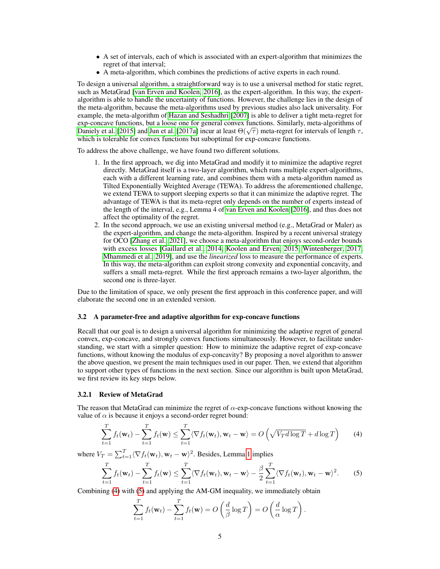- A set of intervals, each of which is associated with an expert-algorithm that minimizes the regret of that interval;
- A meta-algorithm, which combines the predictions of active experts in each round.

To design a universal algorithm, a straightforward way is to use a universal method for static regret, such as MetaGrad [\[van Erven and Koolen, 2016\]](#page-11-5), as the expert-algorithm. In this way, the expertalgorithm is able to handle the uncertainty of functions. However, the challenge lies in the design of the meta-algorithm, because the meta-algorithms used by previous studies also lack universality. For example, the meta-algorithm of [Hazan and Seshadhri](#page-11-2) [\[2007\]](#page-11-2) is able to deliver a tight meta-regret for exp-concave functions, but a loose one for general convex functions. Similarly, meta-algorithms of exp-concave runctions, but a loose one for general convex runctions. Similarly, meta-algorithms of longth  $\tau$ , [Daniely et al.](#page-10-1) [\[2015\]](#page-10-1) and [Jun et al.](#page-11-4) [\[2017a\]](#page-11-4) incur at least  $\Theta(\sqrt{\tau})$  meta-regret for intervals of length  $\tau$ which is tolerable for convex functions but suboptimal for exp-concave functions.

To address the above challenge, we have found two different solutions.

- 1. In the first approach, we dig into MetaGrad and modify it to minimize the adaptive regret directly. MetaGrad itself is a two-layer algorithm, which runs multiple expert-algorithms, each with a different learning rate, and combines them with a meta-algorithm named as Tilted Exponentially Weighted Average (TEWA). To address the aforementioned challenge, we extend TEWA to support sleeping experts so that it can minimize the adaptive regret. The advantage of TEWA is that its meta-regret only depends on the number of experts instead of the length of the interval, e.g., Lemma 4 of [van Erven and Koolen](#page-11-5) [\[2016\]](#page-11-5), and thus does not affect the optimality of the regret.
- 2. In the second approach, we use an existing universal method (e.g., MetaGrad or Maler) as the expert-algorithm, and change the meta-algorithm. Inspired by a recent universal strategy for OCO [\[Zhang et al., 2021\]](#page-12-10), we choose a meta-algorithm that enjoys second-order bounds with excess losses [\[Gaillard et al., 2014,](#page-10-13) [Koolen and Erven, 2015,](#page-11-15) [Wintenberger, 2017,](#page-12-11) [Mhammedi et al., 2019\]](#page-11-8), and use the *linearized* loss to measure the performance of experts. In this way, the meta-algorithm can exploit strong convexity and exponential concavity, and suffers a small meta-regret. While the first approach remains a two-layer algorithm, the second one is three-layer.

Due to the limitation of space, we only present the first approach in this conference paper, and will elaborate the second one in an extended version.

#### 3.2 A parameter-free and adaptive algorithm for exp-concave functions

Recall that our goal is to design a universal algorithm for minimizing the adaptive regret of general convex, exp-concave, and strongly convex functions simultaneously. However, to facilitate understanding, we start with a simpler question: How to minimize the adaptive regret of exp-concave functions, without knowing the modulus of exp-concavity? By proposing a novel algorithm to answer the above question, we present the main techniques used in our paper. Then, we extend that algorithm to support other types of functions in the next section. Since our algorithm is built upon MetaGrad, we first review its key steps below.

#### 3.2.1 Review of MetaGrad

The reason that MetaGrad can minimize the regret of  $\alpha$ -exp-concave functions without knowing the value of  $\alpha$  is because it enjoys a second-order regret bound:

<span id="page-4-0"></span>
$$
\sum_{t=1}^{T} f_t(\mathbf{w}_t) - \sum_{t=1}^{T} f_t(\mathbf{w}) \le \sum_{t=1}^{T} \langle \nabla f_t(\mathbf{w}_t), \mathbf{w}_t - \mathbf{w} \rangle = O\left(\sqrt{V_T d \log T} + d \log T\right) \tag{4}
$$

where  $V_T = \sum_{t=1}^T \langle \nabla f_t(\mathbf{w}_t), \mathbf{w}_t - \mathbf{w} \rangle^2$ . Besides, Lemma [1](#page-3-0) implies

<span id="page-4-1"></span>
$$
\sum_{t=1}^{T} f_t(\mathbf{w}_t) - \sum_{t=1}^{T} f_t(\mathbf{w}) \le \sum_{t=1}^{T} \langle \nabla f_t(\mathbf{w}_t), \mathbf{w}_t - \mathbf{w} \rangle - \frac{\beta}{2} \sum_{t=1}^{T} \langle \nabla f_t(\mathbf{w}_t), \mathbf{w}_t - \mathbf{w} \rangle^2.
$$
 (5)

Combining [\(4\)](#page-4-0) with [\(5\)](#page-4-1) and applying the AM-GM inequality, we immediately obtain

$$
\sum_{t=1}^T f_t(\mathbf{w}_t) - \sum_{t=1}^T f_t(\mathbf{w}) = O\left(\frac{d}{\beta} \log T\right) = O\left(\frac{d}{\alpha} \log T\right).
$$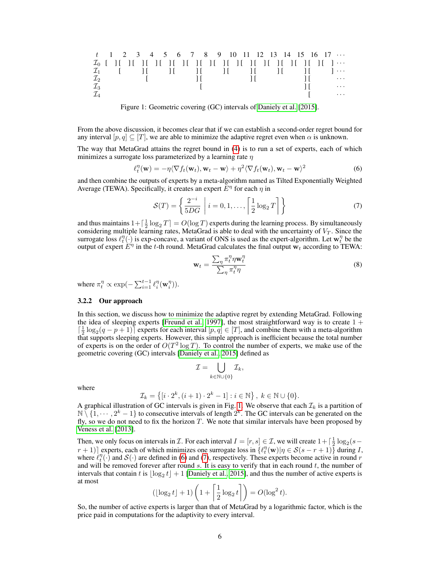t 1 2 3 4 5 6 7 8 9 10 11 12 13 14 15 16 17 · · · I<sup>0</sup> [ ] [ ] [ ] [ ] [ ] [ ] [ ] [ ] [ ] [ ] [ ] [ ] [ ] [ ] [ ] [ ] [ ] · · · I<sup>1</sup> [ ] [ ] [ ] [ ] [ ] [ ] [ ] [ ] · · · I<sup>2</sup> [ ] [ ] [ ] [ · · · I<sup>3</sup> [ ] [ · · · I<sup>4</sup> [ · · ·

<span id="page-5-0"></span>Figure 1: Geometric covering (GC) intervals of [Daniely et al.](#page-10-1) [\[2015\]](#page-10-1).

From the above discussion, it becomes clear that if we can establish a second-order regret bound for any interval  $[p, q] \subseteq [T]$ , we are able to minimize the adaptive regret even when  $\alpha$  is unknown.

The way that MetaGrad attains the regret bound in [\(4\)](#page-4-0) is to run a set of experts, each of which minimizes a surrogate loss parameterized by a learning rate  $\eta$ 

<span id="page-5-1"></span>
$$
\ell_t^{\eta}(\mathbf{w}) = -\eta \langle \nabla f_t(\mathbf{w}_t), \mathbf{w}_t - \mathbf{w} \rangle + \eta^2 \langle \nabla f_t(\mathbf{w}_t), \mathbf{w}_t - \mathbf{w} \rangle^2 \tag{6}
$$

and then combine the outputs of experts by a meta-algorithm named as Tilted Exponentially Weighted Average (TEWA). Specifically, it creates an expert  $E^{\eta}$  for each  $\eta$  in

<span id="page-5-2"></span>
$$
\mathcal{S}(T) = \left\{ \frac{2^{-i}}{5DG} \middle| i = 0, 1, \dots, \left\lceil \frac{1}{2} \log_2 T \right\rceil \right\} \tag{7}
$$

and thus maintains  $1 + \lceil \frac{1}{2} \log_2 T \rceil = O(\log T)$  experts during the learning process. By simultaneously considering multiple learning rates, MetaGrad is able to deal with the uncertainty of  $V_T$ . Since the surrogate loss  $\ell_t^{\eta}(\cdot)$  is exp-concave, a variant of ONS is used as the expert-algorithm. Let  $\mathbf{w}_t^{\eta}$  be the output of expert  $E^{\eta}$  in the t-th round. MetaGrad calculates the final output  $w_t$  according to TEWA:

<span id="page-5-3"></span>
$$
\mathbf{w}_t = \frac{\sum_{\eta} \pi_t^{\eta} \eta \mathbf{w}_t^{\eta}}{\sum_{\eta} \pi_t^{\eta} \eta}
$$
(8)

where  $\pi_t^{\eta} \propto \exp(-\sum_{i=1}^{t-1} \ell_i^{\eta}(\mathbf{w}_i^{\eta})).$ 

## 3.2.2 Our approach

In this section, we discuss how to minimize the adaptive regret by extending MetaGrad. Following the idea of sleeping experts [\[Freund et al., 1997\]](#page-10-2), the most straightforward way is to create  $1 +$  $\left[\frac{1}{2}\log_2(q-p+1)\right]$  experts for each interval  $[p,q] \in [T]$ , and combine them with a meta-algorithm that supports sleeping experts. However, this simple approach is inefficient because the total number of experts is on the order of  $O(T^2 \log T)$ . To control the number of experts, we make use of the geometric covering (GC) intervals [\[Daniely et al., 2015\]](#page-10-1) defined as

$$
\mathcal{I} = \bigcup_{k \in \mathbb{N} \cup \{0\}} \mathcal{I}_k,
$$

where

$$
\mathcal{I}_k = \left\{ \left[ i \cdot 2^k, (i+1) \cdot 2^k - 1 \right] : i \in \mathbb{N} \right\}, k \in \mathbb{N} \cup \{0\}.
$$

A graphical illustration of GC intervals is given in Fig. [1.](#page-5-0) We observe that each  $\mathcal{I}_k$  is a partition of  $\mathbb{N} \setminus \{1, \dots, 2^k-1\}$  to consecutive intervals of length  $2^k$ . The GC intervals can be generated on the fly, so we do not need to fix the horizon  $T$ . We note that similar intervals have been proposed by [Veness et al.](#page-11-16) [\[2013\]](#page-11-16).

Then, we only focus on intervals in  $\mathcal{I}$ . For each interval  $I = [r, s] \in \mathcal{I}$ , we will create  $1 + \lceil \frac{1}{2} \log_2(s - \frac{1}{2}) \rceil$  $(r+1)$ ] experts, each of which minimizes one surrogate loss in  $\{\ell_t^{\eta}(\mathbf{w}) | \eta \in \mathcal{S}(s-r+1)\}\$  during I, where  $\ell_t^{\eta}(\cdot)$  and  $\mathcal{S}(\cdot)$  are defined in [\(6\)](#page-5-1) and [\(7\)](#page-5-2), respectively. These experts become active in round r and will be removed forever after round  $s$ . It is easy to verify that in each round  $t$ , the number of intervals that contain t is  $\lfloor \log_2 t \rfloor + 1$  [\[Daniely et al., 2015\]](#page-10-1), and thus the number of active experts is at most

$$
(\lfloor \log_2 t \rfloor + 1) \left( 1 + \left\lceil \frac{1}{2} \log_2 t \right\rceil \right) = O(\log^2 t).
$$

So, the number of active experts is larger than that of MetaGrad by a logarithmic factor, which is the price paid in computations for the adaptivity to every interval.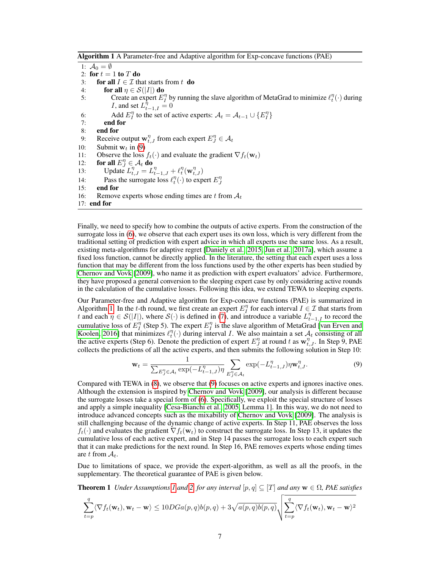<span id="page-6-1"></span>Algorithm 1 A Parameter-free and Adaptive algorithm for Exp-concave functions (PAE)

1:  $A_0 = \emptyset$ 2: for  $t = 1$  to  $T$  do 3: **for all**  $I \in \mathcal{I}$  that starts from t **do** 4: for all  $\eta \in \mathcal{S}(|I|)$  do 5: Create an expert  $E_l^{\eta}$  by running the slave algorithm of MetaGrad to minimize  $\ell_l^{\eta}(\cdot)$  during *I*, and set  $L_{t-1,I}^{\overline{\eta}} = 0$ 6: Add  $E_I^{\eta}$  to the set of active experts:  $A_t = A_{t-1} \cup \{E_I^{\eta}\}\$ 7: end for 8: end for 9: Receive output  $\mathbf{w}_{t,J}^{\eta}$  from each expert  $E_J^{\eta} \in \mathcal{A}_t$ 10: Submit  $w_t$  in [\(9\)](#page-6-0) 11: Observe the loss  $f_t(\cdot)$  and evaluate the gradient  $\nabla f_t(\mathbf{w}_t)$ 12: for all  $E_J^{\eta} \in \mathcal{A}_t$  do 13: Update  $L_{t,J}^{\eta} = L_{t-1,J}^{\eta} + \ell_t^{\eta}(\mathbf{w}_{t,J}^{\eta})$ 14: Pass the surrogate loss  $\ell_t^{\eta}(\cdot)$  to expert  $E_j^{\eta}$ 15: end for 16: Remove experts whose ending times are t from  $A_t$ 17: end for

Finally, we need to specify how to combine the outputs of active experts. From the construction of the surrogate loss in [\(6\)](#page-5-1), we observe that each expert uses its own loss, which is very different from the traditional setting of prediction with expert advice in which all experts use the same loss. As a result, existing meta-algorithms for adaptive regret [\[Daniely et al., 2015,](#page-10-1) [Jun et al., 2017a\]](#page-11-4), which assume a fixed loss function, cannot be directly applied. In the literature, the setting that each expert uses a loss function that may be different from the loss functions used by the other experts has been studied by [Chernov and Vovk](#page-10-14) [\[2009\]](#page-10-14), who name it as prediction with expert evaluators' advice. Furthermore, they have proposed a general conversion to the sleeping expert case by only considering active rounds in the calculation of the cumulative losses. Following this idea, we extend TEWA to sleeping experts.

Our Parameter-free and Adaptive algorithm for Exp-concave functions (PAE) is summarized in Algorithm [1.](#page-6-1) In the t-th round, we first create an expert  $E_l^{\eta}$  for each interval  $I \in \mathcal{I}$  that starts from t and each  $\eta \in \mathcal{S}(|I|)$ , where  $\mathcal{S}(\cdot)$  is defined in [\(7\)](#page-5-2), and introduce a variable  $L_{t-1,I}^{\eta}$  to record the cumulative loss of  $E_I^{\eta}$  (Step 5). The expert  $E_I^{\eta}$  is the slave algorithm of MetaGrad [\[van Erven and](#page-11-5) [Koolen, 2016\]](#page-11-5) that minimizes  $\ell_t^{\eta}(\cdot)$  during interval *I*. We also maintain a set  $\mathcal{A}_t$  consisting of all the active experts (Step 6). Denote the prediction of expert  $E_J^{\eta}$  at round t as  $\mathbf{w}_{t,J}^{\eta}$ . In Step 9, PAE collects the predictions of all the active experts, and then submits the following solution in Step 10:

<span id="page-6-2"></span><span id="page-6-0"></span>
$$
\mathbf{w}_{t} = \frac{1}{\sum_{E_{J}^{n} \in \mathcal{A}_{t}} \exp(-L_{t-1,J}^{\eta})\eta} \sum_{E_{J}^{n} \in \mathcal{A}_{t}} \exp(-L_{t-1,J}^{\eta})\eta \mathbf{w}_{t,J}^{\eta}.
$$
 (9)

Compared with TEWA in [\(8\)](#page-5-3), we observe that [\(9\)](#page-6-0) focuses on active experts and ignores inactive ones. Although the extension is inspired by [Chernov and Vovk](#page-10-14) [\[2009\]](#page-10-14), our analysis is different because the surrogate losses take a special form of [\(6\)](#page-5-1). Specifically, we exploit the special structure of losses and apply a simple inequality [\[Cesa-Bianchi et al., 2005,](#page-10-15) Lemma 1]. In this way, we do not need to introduce advanced concepts such as the mixability of [Chernov and Vovk](#page-10-14) [\[2009\]](#page-10-14). The analysis is still challenging because of the dynamic change of active experts. In Step 11, PAE observes the loss  $f_t(\cdot)$  and evaluates the gradient  $\nabla f_t(\mathbf{w}_t)$  to construct the surrogate loss. In Step 13, it updates the cumulative loss of each active expert, and in Step 14 passes the surrogate loss to each expert such that it can make predictions for the next round. In Step 16, PAE removes experts whose ending times are t from  $A_t$ .

Due to limitations of space, we provide the expert-algorithm, as well as all the proofs, in the supplementary. The theoretical guarantee of PAE is given below.

**Theorem [1](#page-3-1)** *Under Assumptions* 1 *and* [2,](#page-3-2) *for any interval*  $[p, q] \subseteq [T]$  *and any*  $\mathbf{w} \in \Omega$ *, PAE satisfies* 

$$
\sum_{t=p}^{q} \langle \nabla f_t(\mathbf{w}_t), \mathbf{w}_t - \mathbf{w} \rangle \le 10DGa(p, q)b(p, q) + 3\sqrt{a(p, q)b(p, q)} \sqrt{\sum_{t=p}^{q} \langle \nabla f_t(\mathbf{w}_t), \mathbf{w}_t - \mathbf{w} \rangle^2}
$$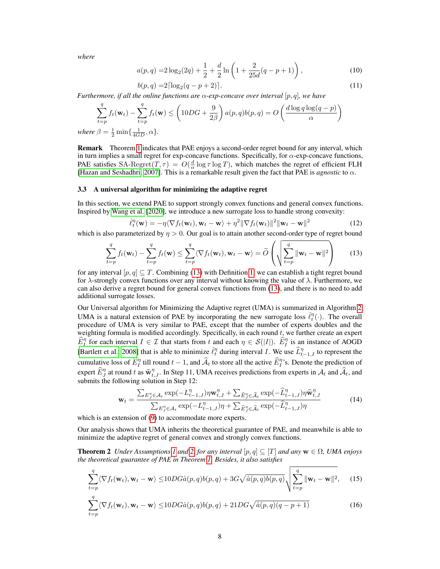*where*

$$
a(p,q) = 2\log_2(2q) + \frac{1}{2} + \frac{d}{2}\ln\left(1 + \frac{2}{25d}(q-p+1)\right),\tag{10}
$$

<span id="page-7-2"></span>
$$
b(p,q) = 2\lceil \log_2(q-p+2) \rceil. \tag{11}
$$

*Furthermore, if all the online functions are* α*-exp-concave over interval* [p, q]*, we have*

$$
\sum_{t=p}^{q} f_t(\mathbf{w}_t) - \sum_{t=p}^{q} f_t(\mathbf{w}) \le \left(10DG + \frac{9}{2\beta}\right) a(p,q)b(p,q) = O\left(\frac{d\log q \log(q-p)}{\alpha}\right)
$$
  
2  $\beta = \frac{1}{2} \min\{\frac{1}{2\beta}, \alpha\}.$ 

 $where$  $\frac{1}{2}$  min $\{$  $\iota_{4GD}, \mathfrak{u}_1$ 

Remark Theorem [1](#page-6-2) indicates that PAE enjoys a second-order regret bound for any interval, which in turn implies a small regret for exp-concave functions. Specifically, for  $\alpha$ -exp-concave functions, PAE satisfies SA-Regret $(T, \tau) = O(\frac{d}{\alpha} \log \tau \log T)$ , which matches the regret of efficient FLH [\[Hazan and Seshadhri, 2007\]](#page-11-2). This is a remarkable result given the fact that PAE is *agnostic* to  $\alpha$ .

#### 3.3 A universal algorithm for minimizing the adaptive regret

In this section, we extend PAE to support strongly convex functions and general convex functions. Inspired by [Wang et al.](#page-12-3) [\[2020\]](#page-12-3), we introduce a new surrogate loss to handle strong convexity:

$$
\hat{\ell}_t^{\eta}(\mathbf{w}) = -\eta \langle \nabla f_t(\mathbf{w}_t), \mathbf{w}_t - \mathbf{w} \rangle + \eta^2 \|\nabla f_t(\mathbf{w}_t)\|^2 \|\mathbf{w}_t - \mathbf{w}\|^2 \tag{12}
$$

which is also parameterized by  $\eta > 0$ . Our goal is to attain another second-order type of regret bound

<span id="page-7-0"></span>
$$
\sum_{t=p}^{q} f_t(\mathbf{w}_t) - \sum_{t=p}^{q} f_t(\mathbf{w}) \le \sum_{t=p}^{q} \langle \nabla f_t(\mathbf{w}_t), \mathbf{w}_t - \mathbf{w} \rangle = \widetilde{O}\left(\sqrt{\sum_{t=p}^{q} ||\mathbf{w}_t - \mathbf{w}||^2}\right)
$$
(13)

for any interval  $[p, q] \subseteq T$ . Combining [\(13\)](#page-7-0) with Definition [1,](#page-3-3) we can establish a tight regret bound for  $\lambda$ -strongly convex functions over any interval without knowing the value of  $\lambda$ . Furthermore, we can also derive a regret bound for general convex functions from [\(13\)](#page-7-0), and there is no need to add additional surrogate losses.

Our Universal algorithm for Minimizing the Adaptive regret (UMA) is summarized in Algorithm [2.](#page-8-0) UMA is a natural extension of PAE by incorporating the new surrogate loss  $\hat{\ell}_t^{\eta}(\cdot)$ . The overall procedure of UMA is very similar to PAE, except that the number of experts doubles and the weighting formula is modified accordingly. Specifically, in each round  $t$ , we further create an expert  $\widehat{E}_I^{\eta}$  for each interval  $I \in \mathcal{I}$  that starts from t and each  $\eta \in \mathcal{S}(|I|)$ .  $\widehat{E}_I^{\eta}$  is an instance of AOGD [\[Bartlett et al., 2008\]](#page-10-4) that is able to minimize  $\hat{\ell}_t^{\eta}$  during interval *I*. We use  $\hat{L}_{t-1,I}^{\eta}$  to represent the cumulative loss of  $\widehat{E}_I^{\eta}$  till round  $t-1$ , and  $\widehat{A}_t$  to store all the active  $\widehat{E}_I^{\eta}$ 's. Denote the prediction of expert  $\widehat{E}_{J}^{\eta}$  at round t as  $\widehat{\mathbf{w}}_{t,J}^{\eta}$ . In Step 11, UMA receives predictions from experts in  $\mathcal{A}_t$  and  $\widehat{\mathcal{A}}_t$ , and experiments the following solution in Step 12. submits the following solution in Step 12:

<span id="page-7-4"></span><span id="page-7-3"></span><span id="page-7-1"></span>
$$
\mathbf{w}_{t} = \frac{\sum_{E_{j}^{n} \in A_{t}} \exp(-L_{t-1,J}^{n}) \eta \mathbf{w}_{t,J}^{n} + \sum_{\widehat{E}_{j}^{n} \in \widehat{A}_{t}} \exp(-\widehat{L}_{t-1,J}^{n}) \eta \widehat{\mathbf{w}}_{t,J}^{n}}{\sum_{E_{j}^{n} \in A_{t}} \exp(-L_{t-1,J}^{n}) \eta + \sum_{\widehat{E}_{j}^{n} \in \widehat{A}_{t}} \exp(-\widehat{L}_{t-1,J}^{n}) \eta}
$$
(14)

which is an extension of [\(9\)](#page-6-0) to accommodate more experts.

Our analysis shows that UMA inherits the theoretical guarantee of PAE, and meanwhile is able to minimize the adaptive regret of general convex and strongly convex functions.

**Theorem 2** *Under Assumptions* [1](#page-3-1) *and* [2,](#page-3-2) *for any interval*  $[p, q] \subseteq [T]$  *and any*  $\mathbf{w} \in \Omega$ *, UMA enjoys the theoretical guarantee of PAE in Theorem [1.](#page-6-2) Besides, it also satisfies*

$$
\sum_{t=p}^{q} \langle \nabla f_t(\mathbf{w}_t), \mathbf{w}_t - \mathbf{w} \rangle \le 10DG\hat{a}(p, q)b(p, q) + 3G\sqrt{\hat{a}(p, q)b(p, q)}\sqrt{\sum_{t=p}^{q} ||\mathbf{w}_t - \mathbf{w}||^2},\tag{15}
$$

$$
\sum_{t=p}^{q} \langle \nabla f_t(\mathbf{w}_t), \mathbf{w}_t - \mathbf{w} \rangle \le 10DG\hat{a}(p, q)b(p, q) + 21DG\sqrt{\hat{a}(p, q)(q - p + 1)}
$$
(16)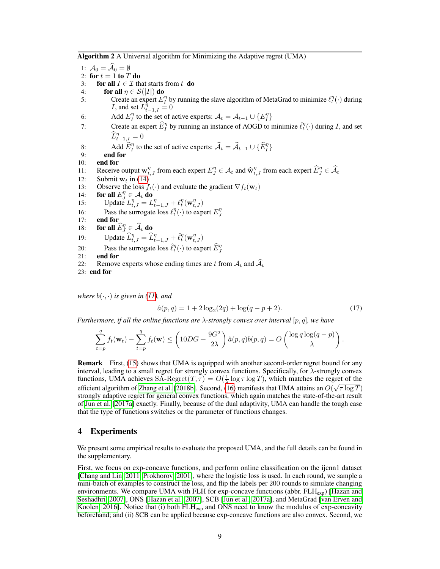<span id="page-8-0"></span>Algorithm 2 A Universal algorithm for Minimizing the Adaptive regret (UMA)

1:  $A_0 = \overline{A}_0 = \emptyset$ 2: for  $t = 1$  to  $T$  do 3: for all  $I \in \mathcal{I}$  that starts from t do 4: for all  $\eta \in \mathcal{S}(|I|)$  do 5: Create an expert  $E_l^{\eta}$  by running the slave algorithm of MetaGrad to minimize  $\ell_l^{\eta}(\cdot)$  during *I*, and set  $L_{t-1,I}^{\overline{\eta}} = 0$ 6: Add  $E_I^{\eta}$  to the set of active experts:  $A_t = A_{t-1} \cup \{E_I^{\eta}\}\$ 7: Create an expert  $\widehat{E}_I^{\eta}$  by running an instance of AOGD to minimize  $\widehat{\ell}_t^{\eta}(\cdot)$  during I, and set  $\widehat{L}_{t-1,\underline{I}}^{\eta}=0$ 8: Add  $\widehat{E}_I^{\eta}$  to the set of active experts:  $\widehat{A}_t = \widehat{A}_{t-1} \cup \{\widehat{E}_I^{\eta}\}\$ 9: end for 10: end for 11: Receive output  $\mathbf{w}_{t,j}^{\eta}$  from each expert  $E_{J}^{\eta} \in \mathcal{A}_t$  and  $\widehat{\mathbf{w}}_{t,j}^{\eta}$  from each expert  $\widehat{E}_{J}^{\eta} \in \widehat{\mathcal{A}}_t$ 12: Submit  $w_t$  in [\(14\)](#page-7-1) 13: Observe the loss  $f_t(\cdot)$  and evaluate the gradient  $\nabla f_t(\mathbf{w}_t)$ 14: for all  $E_J^{\eta} \in \mathcal{A}_t$  do 15: Update  $L_{t,J}^{\eta} = L_{t-1,J}^{\eta} + \ell_t^{\eta}(\mathbf{w}_{t,J}^{\eta})$ 16: Pass the surrogate loss  $\ell_t^{\eta}(\cdot)$  to expert  $E_j^{\eta}$ 17: end for 18: for all  $\widehat{E}_{J}^{\eta} \in \widehat{\mathcal{A}}_{t}$  do 19: Update  $\widehat{L}^{\eta}_{t,J} = \widehat{L}^{\eta}_{t-1,J} + \widehat{\ell}^{\eta}_{t}(\mathbf{w}^{\eta}_{t,J})$ 20: Pass the surrogate loss  $\hat{\ell}_t^{\eta}(\cdot)$  to expert  $\hat{E}_J^{\eta}$ 21: end for 22: Remove experts whose ending times are t from  $A_t$  and  $\widehat{A}_t$ 23: end for

*where*  $b(\cdot, \cdot)$  *is given in [\(11\)](#page-7-2), and* 

$$
\hat{a}(p,q) = 1 + 2\log_2(2q) + \log(q-p+2). \tag{17}
$$

*Furthermore, if all the online functions are* λ*-strongly convex over interval* [p, q]*, we have*

$$
\sum_{t=p}^{q} f_t(\mathbf{w}_t) - \sum_{t=p}^{q} f_t(\mathbf{w}) \le \left(10DG + \frac{9G^2}{2\lambda}\right) \hat{a}(p,q)b(p,q) = O\left(\frac{\log q \log(q-p)}{\lambda}\right).
$$

Remark First, [\(15\)](#page-7-3) shows that UMA is equipped with another second-order regret bound for any interval, leading to a small regret for strongly convex functions. Specifically, for λ-strongly convex functions, UMA achieves  $SA\text{-Regret}(T, \tau) = O(\frac{1}{\lambda} \log \tau \log T)$ , which matches the regret of the efficient algorithm of [Zhang et al.](#page-12-1) [\[2018b\]](#page-12-1). Second, [\(16\)](#page-7-4) manifests that UMA attains an  $O(\sqrt{\tau \log T})$ strongly adaptive regret for general convex functions, which again matches the state-of-the-art result of [Jun et al.](#page-11-4) [\[2017a\]](#page-11-4) exactly. Finally, because of the dual adaptivity, UMA can handle the tough case that the type of functions switches or the parameter of functions changes.

# 4 Experiments

We present some empirical results to evaluate the proposed UMA, and the full details can be found in the supplementary.

First, we focus on exp-concave functions, and perform online classification on the ijcnn1 dataset [\[Chang and Lin, 2011,](#page-10-16) [Prokhorov, 2001\]](#page-11-17), where the logistic loss is used. In each round, we sample a mini-batch of examples to construct the loss, and flip the labels per 200 rounds to simulate changing environments. We compare UMA with FLH for exp-concave functions (abbr.  $FLH_{\rm exp}$ ) [\[Hazan and](#page-11-2) [Seshadhri, 2007\]](#page-11-2), ONS [\[Hazan et al., 2007\]](#page-11-7), SCB [\[Jun et al., 2017a\]](#page-11-4), and MetaGrad [\[van Erven and](#page-11-5) [Koolen, 2016\]](#page-11-5). Notice that (i) both  $FLH_{exp}$  and ONS need to know the modulus of exp-concavity beforehand; and (ii) SCB can be applied because exp-concave functions are also convex. Second, we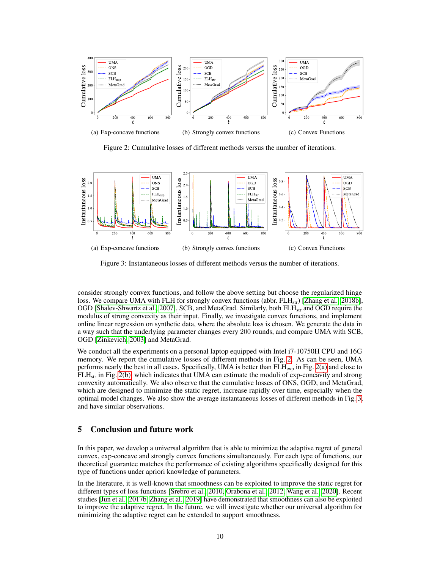<span id="page-9-1"></span>

<span id="page-9-2"></span><span id="page-9-0"></span>Figure 2: Cumulative losses of different methods versus the number of iterations.



<span id="page-9-3"></span>Figure 3: Instantaneous losses of different methods versus the number of iterations.

consider strongly convex functions, and follow the above setting but choose the regularized hinge loss. We compare UMA with FLH for strongly convex functions (abbr. FLH<sub>str</sub>) [\[Zhang et al., 2018b\]](#page-12-1), OGD [\[Shalev-Shwartz et al., 2007\]](#page-11-6), SCB, and MetaGrad. Similarly, both FLH<sub>str</sub> and OGD require the modulus of strong convexity as their input. Finally, we investigate convex functions, and implement online linear regression on synthetic data, where the absolute loss is chosen. We generate the data in a way such that the underlying parameter changes every 200 rounds, and compare UMA with SCB, OGD [\[Zinkevich, 2003\]](#page-12-0) and MetaGrad.

We conduct all the experiments on a personal laptop equipped with Intel i7-10750H CPU and 16G memory. We report the cumulative losses of different methods in Fig. [2.](#page-9-0) As can be seen, UMA performs nearly the best in all cases. Specifically, UMA is better than  $FLH_{exp}$  in Fig. [2\(a\)](#page-9-1) and close to  $FLH<sub>str</sub>$  in Fig. [2\(b\),](#page-9-2) which indicates that UMA can estimate the moduli of exp-concavity and strong convexity automatically. We also observe that the cumulative losses of ONS, OGD, and MetaGrad, which are designed to minimize the static regret, increase rapidly over time, especially when the optimal model changes. We also show the average instantaneous losses of different methods in Fig. [3,](#page-9-3) and have similar observations.

# 5 Conclusion and future work

In this paper, we develop a universal algorithm that is able to minimize the adaptive regret of general convex, exp-concave and strongly convex functions simultaneously. For each type of functions, our theoretical guarantee matches the performance of existing algorithms specifically designed for this type of functions under apriori knowledge of parameters.

In the literature, it is well-known that smoothness can be exploited to improve the static regret for different types of loss functions [\[Srebro et al., 2010,](#page-11-18) [Orabona et al., 2012,](#page-11-19) [Wang et al., 2020\]](#page-12-3). Recent studies [\[Jun et al., 2017b,](#page-11-20) [Zhang et al., 2019\]](#page-12-12) have demonstrated that smoothness can also be exploited to improve the adaptive regret. In the future, we will investigate whether our universal algorithm for minimizing the adaptive regret can be extended to support smoothness.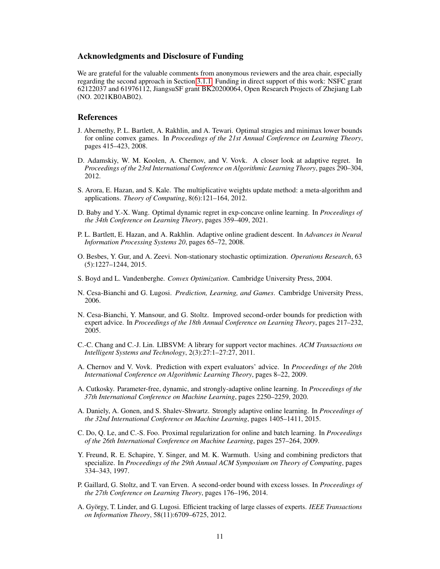# Acknowledgments and Disclosure of Funding

We are grateful for the valuable comments from anonymous reviewers and the area chair, especially regarding the second approach in Section [3.1.1.](#page-3-4) Funding in direct support of this work: NSFC grant 62122037 and 61976112, JiangsuSF grant BK20200064, Open Research Projects of Zhejiang Lab (NO. 2021KB0AB02).

# References

- <span id="page-10-3"></span>J. Abernethy, P. L. Bartlett, A. Rakhlin, and A. Tewari. Optimal stragies and minimax lower bounds for online convex games. In *Proceedings of the 21st Annual Conference on Learning Theory*, pages 415–423, 2008.
- <span id="page-10-6"></span>D. Adamskiy, W. M. Koolen, A. Chernov, and V. Vovk. A closer look at adaptive regret. In *Proceedings of the 23rd International Conference on Algorithmic Learning Theory*, pages 290–304, 2012.
- <span id="page-10-8"></span>S. Arora, E. Hazan, and S. Kale. The multiplicative weights update method: a meta-algorithm and applications. *Theory of Computing*, 8(6):121–164, 2012.
- <span id="page-10-11"></span>D. Baby and Y.-X. Wang. Optimal dynamic regret in exp-concave online learning. In *Proceedings of the 34th Conference on Learning Theory*, pages 359–409, 2021.
- <span id="page-10-4"></span>P. L. Bartlett, E. Hazan, and A. Rakhlin. Adaptive online gradient descent. In *Advances in Neural Information Processing Systems 20*, pages 65–72, 2008.
- <span id="page-10-10"></span>O. Besbes, Y. Gur, and A. Zeevi. Non-stationary stochastic optimization. *Operations Research*, 63 (5):1227–1244, 2015.
- <span id="page-10-12"></span>S. Boyd and L. Vandenberghe. *Convex Optimization*. Cambridge University Press, 2004.
- <span id="page-10-0"></span>N. Cesa-Bianchi and G. Lugosi. *Prediction, Learning, and Games*. Cambridge University Press, 2006.
- <span id="page-10-15"></span>N. Cesa-Bianchi, Y. Mansour, and G. Stoltz. Improved second-order bounds for prediction with expert advice. In *Proceedings of the 18th Annual Conference on Learning Theory*, pages 217–232, 2005.
- <span id="page-10-16"></span>C.-C. Chang and C.-J. Lin. LIBSVM: A library for support vector machines. *ACM Transactions on Intelligent Systems and Technology*, 2(3):27:1–27:27, 2011.
- <span id="page-10-14"></span>A. Chernov and V. Vovk. Prediction with expert evaluators' advice. In *Proceedings of the 20th International Conference on Algorithmic Learning Theory*, pages 8–22, 2009.
- <span id="page-10-9"></span>A. Cutkosky. Parameter-free, dynamic, and strongly-adaptive online learning. In *Proceedings of the 37th International Conference on Machine Learning*, pages 2250–2259, 2020.
- <span id="page-10-1"></span>A. Daniely, A. Gonen, and S. Shalev-Shwartz. Strongly adaptive online learning. In *Proceedings of the 32nd International Conference on Machine Learning*, pages 1405–1411, 2015.
- <span id="page-10-5"></span>C. Do, Q. Le, and C.-S. Foo. Proximal regularization for online and batch learning. In *Proceedings of the 26th International Conference on Machine Learning*, pages 257–264, 2009.
- <span id="page-10-2"></span>Y. Freund, R. E. Schapire, Y. Singer, and M. K. Warmuth. Using and combining predictors that specialize. In *Proceedings of the 29th Annual ACM Symposium on Theory of Computing*, pages 334–343, 1997.
- <span id="page-10-13"></span>P. Gaillard, G. Stoltz, and T. van Erven. A second-order bound with excess losses. In *Proceedings of the 27th Conference on Learning Theory*, pages 176–196, 2014.
- <span id="page-10-7"></span>A. György, T. Linder, and G. Lugosi. Efficient tracking of large classes of experts. *IEEE Transactions on Information Theory*, 58(11):6709–6725, 2012.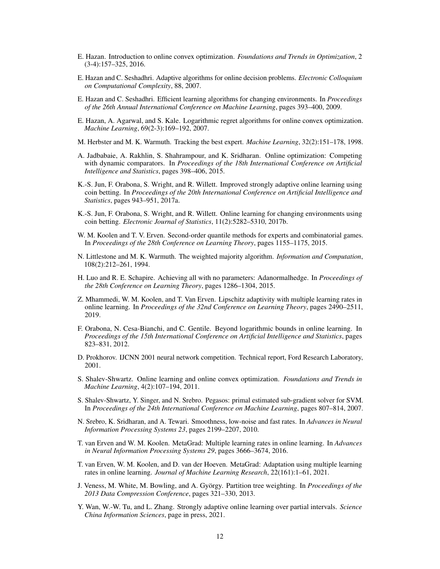- <span id="page-11-1"></span>E. Hazan. Introduction to online convex optimization. *Foundations and Trends in Optimization*, 2 (3-4):157–325, 2016.
- <span id="page-11-2"></span>E. Hazan and C. Seshadhri. Adaptive algorithms for online decision problems. *Electronic Colloquium on Computational Complexity*, 88, 2007.
- <span id="page-11-3"></span>E. Hazan and C. Seshadhri. Efficient learning algorithms for changing environments. In *Proceedings of the 26th Annual International Conference on Machine Learning*, pages 393–400, 2009.
- <span id="page-11-7"></span>E. Hazan, A. Agarwal, and S. Kale. Logarithmic regret algorithms for online convex optimization. *Machine Learning*, 69(2-3):169–192, 2007.
- <span id="page-11-12"></span>M. Herbster and M. K. Warmuth. Tracking the best expert. *Machine Learning*, 32(2):151–178, 1998.
- <span id="page-11-14"></span>A. Jadbabaie, A. Rakhlin, S. Shahrampour, and K. Sridharan. Online optimization: Competing with dynamic comparators. In *Proceedings of the 18th International Conference on Artificial Intelligence and Statistics*, pages 398–406, 2015.
- <span id="page-11-4"></span>K.-S. Jun, F. Orabona, S. Wright, and R. Willett. Improved strongly adaptive online learning using coin betting. In *Proceedings of the 20th International Conference on Artificial Intelligence and Statistics*, pages 943–951, 2017a.
- <span id="page-11-20"></span>K.-S. Jun, F. Orabona, S. Wright, and R. Willett. Online learning for changing environments using coin betting. *Electronic Journal of Statistics*, 11(2):5282–5310, 2017b.
- <span id="page-11-15"></span>W. M. Koolen and T. V. Erven. Second-order quantile methods for experts and combinatorial games. In *Proceedings of the 28th Conference on Learning Theory*, pages 1155–1175, 2015.
- <span id="page-11-10"></span>N. Littlestone and M. K. Warmuth. The weighted majority algorithm. *Information and Computation*, 108(2):212–261, 1994.
- <span id="page-11-11"></span>H. Luo and R. E. Schapire. Achieving all with no parameters: Adanormalhedge. In *Proceedings of the 28th Conference on Learning Theory*, pages 1286–1304, 2015.
- <span id="page-11-8"></span>Z. Mhammedi, W. M. Koolen, and T. Van Erven. Lipschitz adaptivity with multiple learning rates in online learning. In *Proceedings of the 32nd Conference on Learning Theory*, pages 2490–2511, 2019.
- <span id="page-11-19"></span>F. Orabona, N. Cesa-Bianchi, and C. Gentile. Beyond logarithmic bounds in online learning. In *Proceedings of the 15th International Conference on Artificial Intelligence and Statistics*, pages 823–831, 2012.
- <span id="page-11-17"></span>D. Prokhorov. IJCNN 2001 neural network competition. Technical report, Ford Research Laboratory, 2001.
- <span id="page-11-0"></span>S. Shalev-Shwartz. Online learning and online convex optimization. *Foundations and Trends in Machine Learning*, 4(2):107–194, 2011.
- <span id="page-11-6"></span>S. Shalev-Shwartz, Y. Singer, and N. Srebro. Pegasos: primal estimated sub-gradient solver for SVM. In *Proceedings of the 24th International Conference on Machine Learning*, pages 807–814, 2007.
- <span id="page-11-18"></span>N. Srebro, K. Sridharan, and A. Tewari. Smoothness, low-noise and fast rates. In *Advances in Neural Information Processing Systems 23*, pages 2199–2207, 2010.
- <span id="page-11-5"></span>T. van Erven and W. M. Koolen. MetaGrad: Multiple learning rates in online learning. In *Advances in Neural Information Processing Systems 29*, pages 3666–3674, 2016.
- <span id="page-11-9"></span>T. van Erven, W. M. Koolen, and D. van der Hoeven. MetaGrad: Adaptation using multiple learning rates in online learning. *Journal of Machine Learning Research*, 22(161):1–61, 2021.
- <span id="page-11-16"></span>J. Veness, M. White, M. Bowling, and A. György. Partition tree weighting. In *Proceedings of the 2013 Data Compression Conference*, pages 321–330, 2013.
- <span id="page-11-13"></span>Y. Wan, W.-W. Tu, and L. Zhang. Strongly adaptive online learning over partial intervals. *Science China Information Sciences*, page in press, 2021.